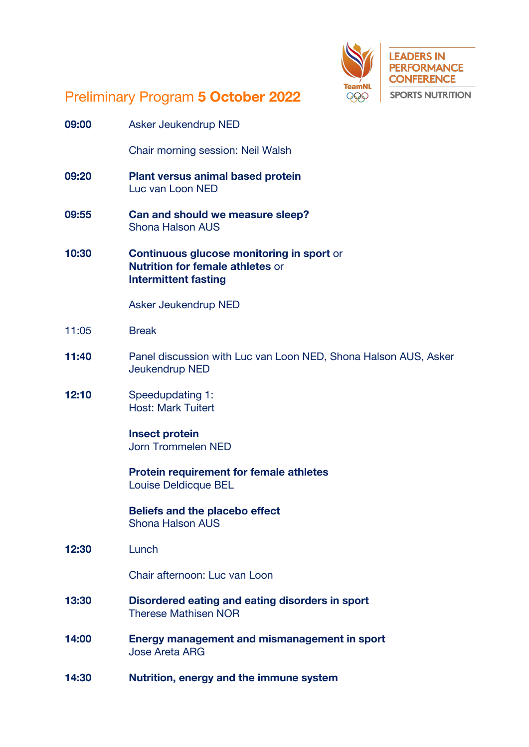

## Preliminary Program **5 October 2022**

| 09:00 | Asker Jeukendrup NED                                                                                                       |
|-------|----------------------------------------------------------------------------------------------------------------------------|
|       | Chair morning session: Neil Walsh                                                                                          |
| 09:20 | <b>Plant versus animal based protein</b><br>Luc van Loon NED                                                               |
| 09:55 | Can and should we measure sleep?<br><b>Shona Halson AUS</b>                                                                |
| 10:30 | <b>Continuous glucose monitoring in sport or</b><br><b>Nutrition for female athletes or</b><br><b>Intermittent fasting</b> |
|       | Asker Jeukendrup NED                                                                                                       |
| 11:05 | <b>Break</b>                                                                                                               |
| 11:40 | Panel discussion with Luc van Loon NED, Shona Halson AUS, Asker<br>Jeukendrup NED                                          |
| 12:10 | Speedupdating 1:<br><b>Host: Mark Tuitert</b>                                                                              |
|       | <b>Insect protein</b><br><b>Jorn Trommelen NED</b>                                                                         |
|       | <b>Protein requirement for female athletes</b><br>Louise Deldicque BEL                                                     |
|       | <b>Beliefs and the placebo effect</b><br><b>Shona Halson AUS</b>                                                           |
| 12:30 | Lunch                                                                                                                      |
|       | Chair afternoon: Luc van Loon                                                                                              |
| 13:30 | Disordered eating and eating disorders in sport<br><b>Therese Mathisen NOR</b>                                             |
| 14:00 | Energy management and mismanagement in sport<br><b>Jose Areta ARG</b>                                                      |
| 14:30 | Nutrition, energy and the immune system                                                                                    |